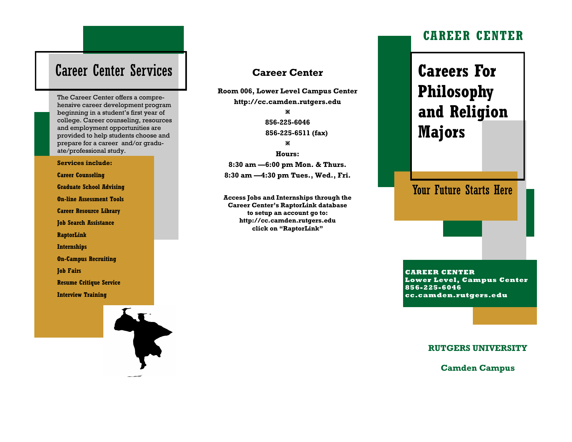## Career Center Services

The Career Center offers a comprehensive career development program beginning in a student's first year of college. Career counseling, resources and employment opportunities are provided to help students choose and prepare for a career and/or graduate/professional study.

#### **Services include:**

**Career Counseling Graduate School Advising On-line Assessment Tools Career Resource Library Job Search Assistance RaptorLink Internships On-Campus Recruiting Job Fairs Resume Critique Service Interview Training** 

### **Career Center**

**Room 006, Lower Level Campus Center http://cc.camden.rutgers.edu** ×

> **856-225-6046 856-225-6511 (fax)** ×

**Hours: 8:30 am —6:00 pm Mon. & Thurs. 8:30 am —4:30 pm Tues., Wed., Fri.**

**Access Jobs and Internships through the Career Center's RaptorLink database to setup an account go to: http://cc.camden.rutgers.edu click on "RaptorLink"**

### **CAREER CENTER**

# **Careers For Philosophy and Religion Majors**

Your Future Starts Here

**CAREER CENTER Lower Level, Campus Center 856-225-6046 cc.camden.rutgers.edu**

#### **RUTGERS UNIVERSITY**

**Camden Campus**